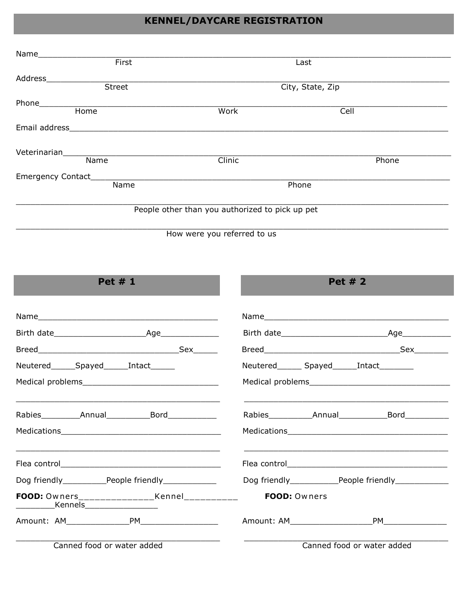### **KENNEL/DAYCARE REGISTRATION**

| Name_              |                                                 |       |
|--------------------|-------------------------------------------------|-------|
| First              | Last                                            |       |
| Address            |                                                 |       |
| <b>Street</b>      | City, State, Zip                                |       |
| Phone              |                                                 |       |
| Home               | Work                                            | Cell  |
| Email address      |                                                 |       |
| Veterinarian       |                                                 |       |
| Name               | Clinic                                          | Phone |
| Emergency Contact_ |                                                 |       |
| Name               | Phone                                           |       |
|                    | People other than you authorized to pick up pet |       |
|                    |                                                 |       |

How were you referred to us

| Pet $#1$                                  | Pet $#2$                                       |  |
|-------------------------------------------|------------------------------------------------|--|
|                                           |                                                |  |
|                                           |                                                |  |
|                                           |                                                |  |
| Neutered_______Spayed_______Intact_______ | Neutered________ Spayed_______Intact__________ |  |
|                                           |                                                |  |
|                                           |                                                |  |
|                                           |                                                |  |
|                                           |                                                |  |
|                                           |                                                |  |
|                                           |                                                |  |
|                                           |                                                |  |
|                                           | Amount: AM PM                                  |  |
| Canned food or water added                | Canned food or water added                     |  |